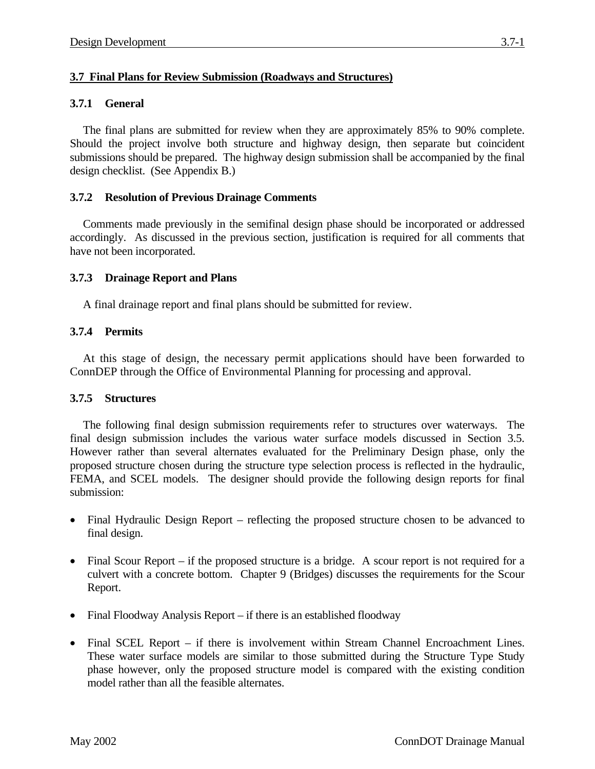## **3.7 Final Plans for Review Submission (Roadways and Structures)**

## **3.7.1 General**

The final plans are submitted for review when they are approximately 85% to 90% complete. Should the project involve both structure and highway design, then separate but coincident submissions should be prepared. The highway design submission shall be accompanied by the final design checklist. (See Appendix B.)

## **3.7.2 Resolution of Previous Drainage Comments**

Comments made previously in the semifinal design phase should be incorporated or addressed accordingly. As discussed in the previous section, justification is required for all comments that have not been incorporated.

#### **3.7.3 Drainage Report and Plans**

A final drainage report and final plans should be submitted for review.

#### **3.7.4 Permits**

At this stage of design, the necessary permit applications should have been forwarded to ConnDEP through the Office of Environmental Planning for processing and approval.

#### **3.7.5 Structures**

The following final design submission requirements refer to structures over waterways. The final design submission includes the various water surface models discussed in Section 3.5. However rather than several alternates evaluated for the Preliminary Design phase, only the proposed structure chosen during the structure type selection process is reflected in the hydraulic, FEMA, and SCEL models. The designer should provide the following design reports for final submission:

- Final Hydraulic Design Report reflecting the proposed structure chosen to be advanced to final design.
- Final Scour Report if the proposed structure is a bridge. A scour report is not required for a culvert with a concrete bottom. Chapter 9 (Bridges) discusses the requirements for the Scour Report.
- Final Floodway Analysis Report if there is an established floodway
- Final SCEL Report if there is involvement within Stream Channel Encroachment Lines. These water surface models are similar to those submitted during the Structure Type Study phase however, only the proposed structure model is compared with the existing condition model rather than all the feasible alternates.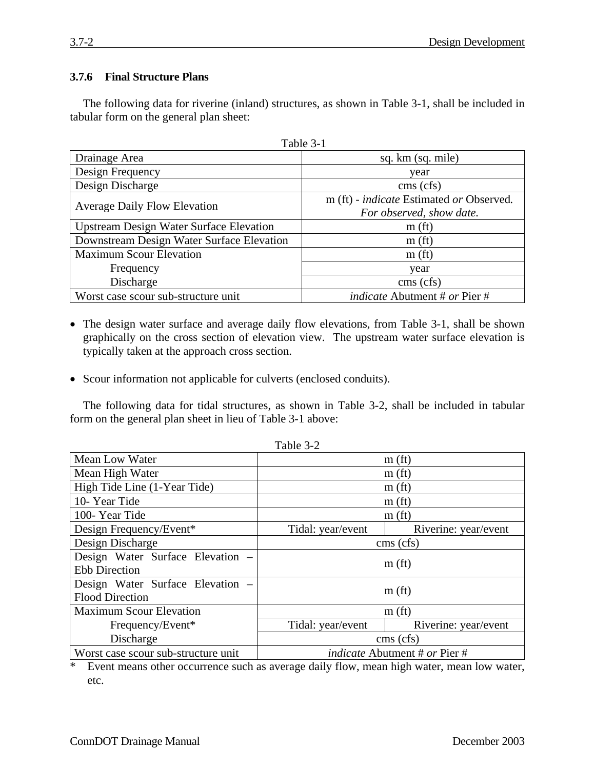## **3.7.6 Final Structure Plans**

The following data for riverine (inland) structures, as shown in Table 3-1, shall be included in tabular form on the general plan sheet:

| Table 3-1                                      |                                                 |  |  |
|------------------------------------------------|-------------------------------------------------|--|--|
| Drainage Area                                  | sq. km (sq. mile)                               |  |  |
| Design Frequency                               | year                                            |  |  |
| Design Discharge                               | cms (cfs)                                       |  |  |
| <b>Average Daily Flow Elevation</b>            | m (ft) - <i>indicate</i> Estimated or Observed. |  |  |
|                                                | For observed, show date.                        |  |  |
| <b>Upstream Design Water Surface Elevation</b> | m(f <sub>t</sub> )                              |  |  |
| Downstream Design Water Surface Elevation      | m(f <sub>t</sub> )                              |  |  |
| <b>Maximum Scour Elevation</b>                 | m(f <sub>t</sub> )                              |  |  |
| Frequency                                      | year                                            |  |  |
| Discharge                                      | cms (cfs)                                       |  |  |
| Worst case scour sub-structure unit            | <i>indicate</i> Abutment # or Pier #            |  |  |

- The design water surface and average daily flow elevations, from Table 3-1, shall be shown graphically on the cross section of elevation view. The upstream water surface elevation is typically taken at the approach cross section.
- Scour information not applicable for culverts (enclosed conduits).

The following data for tidal structures, as shown in Table 3-2, shall be included in tabular form on the general plan sheet in lieu of Table 3-1 above:

| $1$ avit $J^2L$                     |                                      |                      |  |  |
|-------------------------------------|--------------------------------------|----------------------|--|--|
| Mean Low Water                      | m(f <sub>t</sub> )                   |                      |  |  |
| Mean High Water                     | m(f <sub>t</sub> )                   |                      |  |  |
| High Tide Line (1-Year Tide)        | m(f <sub>t</sub> )                   |                      |  |  |
| 10-Year Tide                        | m(f <sub>t</sub> )                   |                      |  |  |
| 100-Year Tide                       | m(f <sub>t</sub> )                   |                      |  |  |
| Design Frequency/Event*             | Tidal: year/event                    | Riverine: year/event |  |  |
| Design Discharge                    | $\cos(\text{cfs})$                   |                      |  |  |
| Design Water Surface Elevation -    | m(f <sub>t</sub> )                   |                      |  |  |
| <b>Ebb Direction</b>                |                                      |                      |  |  |
| Design Water Surface Elevation -    | m(f <sub>t</sub> )                   |                      |  |  |
| <b>Flood Direction</b>              |                                      |                      |  |  |
| <b>Maximum Scour Elevation</b>      | m(f <sub>t</sub> )                   |                      |  |  |
| Frequency/Event*                    | Tidal: year/event                    | Riverine: year/event |  |  |
| Discharge                           | cms (cfs)                            |                      |  |  |
| Worst case scour sub-structure unit | <i>indicate</i> Abutment # or Pier # |                      |  |  |

Table 3-2

\* Event means other occurrence such as average daily flow, mean high water, mean low water, etc.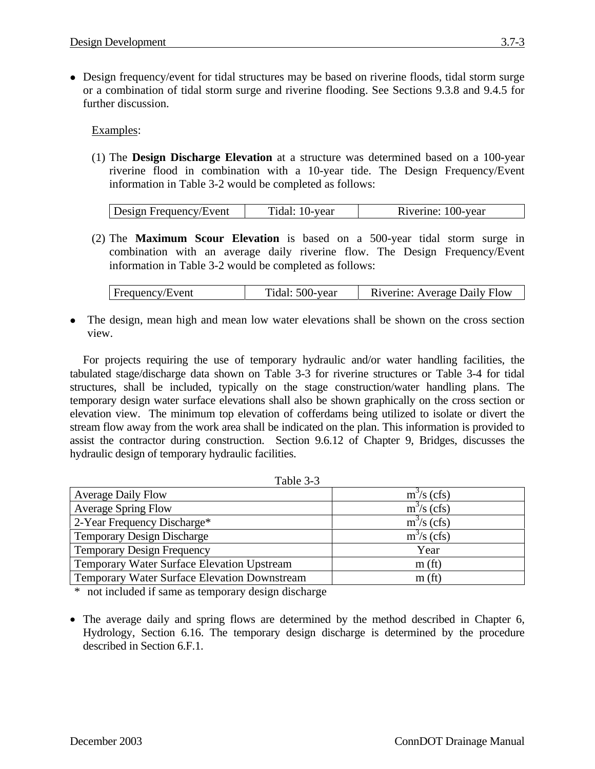• Design frequency/event for tidal structures may be based on riverine floods, tidal storm surge or a combination of tidal storm surge and riverine flooding. See Sections 9.3.8 and 9.4.5 for further discussion.

Examples:

(1) The **Design Discharge Elevation** at a structure was determined based on a 100-year riverine flood in combination with a 10-year tide. The Design Frequency/Event information in Table 3-2 would be completed as follows:

| Design Frequency/Event | Tidal: 10-year | Riverine: 100-year |
|------------------------|----------------|--------------------|

(2) The **Maximum Scour Elevation** is based on a 500-year tidal storm surge in combination with an average daily riverine flow. The Design Frequency/Event information in Table 3-2 would be completed as follows:

The design, mean high and mean low water elevations shall be shown on the cross section view.

For projects requiring the use of temporary hydraulic and/or water handling facilities, the tabulated stage/discharge data shown on Table 3-3 for riverine structures or Table 3-4 for tidal structures, shall be included, typically on the stage construction/water handling plans. The temporary design water surface elevations shall also be shown graphically on the cross section or elevation view. The minimum top elevation of cofferdams being utilized to isolate or divert the stream flow away from the work area shall be indicated on the plan. This information is provided to assist the contractor during construction. Section 9.6.12 of Chapter 9, Bridges, discusses the hydraulic design of temporary hydraulic facilities.

| <b>Average Daily Flow</b>                         | $m3/s$ (cfs)       |
|---------------------------------------------------|--------------------|
| <b>Average Spring Flow</b>                        | $m^3/s$ (cfs)      |
| 2-Year Frequency Discharge*                       | $m3/s$ (cfs)       |
| <b>Temporary Design Discharge</b>                 | $m^3$ /s (cfs)     |
| <b>Temporary Design Frequency</b>                 | Year               |
| <b>Temporary Water Surface Elevation Upstream</b> | m(f <sub>t</sub> ) |
| Temporary Water Surface Elevation Downstream      | m(f <sub>t</sub> ) |

\* not included if same as temporary design discharge

• The average daily and spring flows are determined by the method described in Chapter 6, Hydrology, Section 6.16. The temporary design discharge is determined by the procedure described in Section 6.F.1.